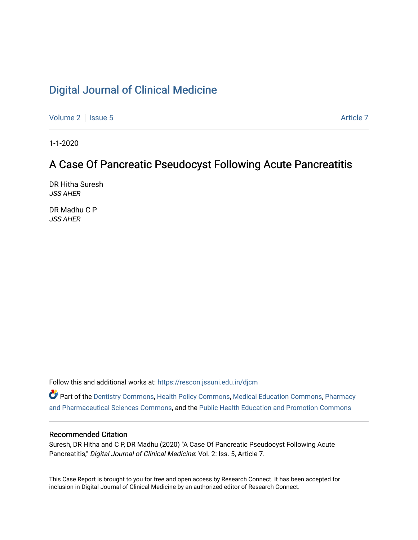# [Digital Journal of Clinical Medicine](https://rescon.jssuni.edu.in/djcm)

[Volume 2](https://rescon.jssuni.edu.in/djcm/vol2) | [Issue 5](https://rescon.jssuni.edu.in/djcm/vol2/iss5) Article 7

1-1-2020

## A Case Of Pancreatic Pseudocyst Following Acute Pancreatitis

DR Hitha Suresh JSS AHER

DR Madhu C P JSS AHER

Follow this and additional works at: [https://rescon.jssuni.edu.in/djcm](https://rescon.jssuni.edu.in/djcm?utm_source=rescon.jssuni.edu.in%2Fdjcm%2Fvol2%2Fiss5%2F7&utm_medium=PDF&utm_campaign=PDFCoverPages) 

Part of the [Dentistry Commons,](http://network.bepress.com/hgg/discipline/651?utm_source=rescon.jssuni.edu.in%2Fdjcm%2Fvol2%2Fiss5%2F7&utm_medium=PDF&utm_campaign=PDFCoverPages) [Health Policy Commons,](http://network.bepress.com/hgg/discipline/395?utm_source=rescon.jssuni.edu.in%2Fdjcm%2Fvol2%2Fiss5%2F7&utm_medium=PDF&utm_campaign=PDFCoverPages) [Medical Education Commons,](http://network.bepress.com/hgg/discipline/1125?utm_source=rescon.jssuni.edu.in%2Fdjcm%2Fvol2%2Fiss5%2F7&utm_medium=PDF&utm_campaign=PDFCoverPages) [Pharmacy](http://network.bepress.com/hgg/discipline/731?utm_source=rescon.jssuni.edu.in%2Fdjcm%2Fvol2%2Fiss5%2F7&utm_medium=PDF&utm_campaign=PDFCoverPages) [and Pharmaceutical Sciences Commons,](http://network.bepress.com/hgg/discipline/731?utm_source=rescon.jssuni.edu.in%2Fdjcm%2Fvol2%2Fiss5%2F7&utm_medium=PDF&utm_campaign=PDFCoverPages) and the [Public Health Education and Promotion Commons](http://network.bepress.com/hgg/discipline/743?utm_source=rescon.jssuni.edu.in%2Fdjcm%2Fvol2%2Fiss5%2F7&utm_medium=PDF&utm_campaign=PDFCoverPages) 

#### Recommended Citation

Suresh, DR Hitha and C P, DR Madhu (2020) "A Case Of Pancreatic Pseudocyst Following Acute Pancreatitis," Digital Journal of Clinical Medicine: Vol. 2: Iss. 5, Article 7.

This Case Report is brought to you for free and open access by Research Connect. It has been accepted for inclusion in Digital Journal of Clinical Medicine by an authorized editor of Research Connect.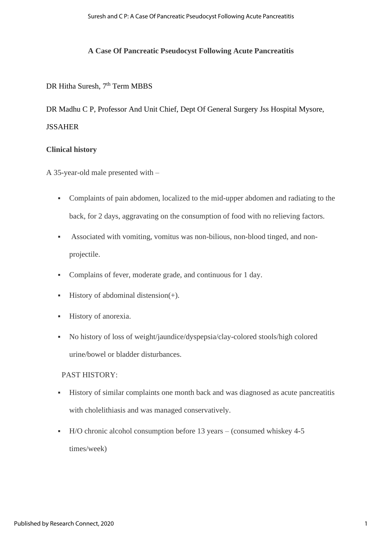#### **A Case Of Pancreatic Pseudocyst Following Acute Pancreatitis**

## DR Hitha Suresh, 7<sup>th</sup> Term MBBS

DR Madhu C P, Professor And Unit Chief, Dept Of General Surgery Jss Hospital Mysore, **JSSAHER** 

## **Clinical history**

A 35-year-old male presented with –

- Complaints of pain abdomen, localized to the mid-upper abdomen and radiating to the back, for 2 days, aggravating on the consumption of food with no relieving factors.
- Associated with vomiting, vomitus was non-bilious, non-blood tinged, and nonprojectile.
- Complains of fever, moderate grade, and continuous for 1 day.
- **•** History of abdominal distension $(+)$ .
- History of anorexia.
- No history of loss of weight/jaundice/dyspepsia/clay-colored stools/high colored urine/bowel or bladder disturbances.

## PAST HISTORY:

- History of similar complaints one month back and was diagnosed as acute pancreatitis with cholelithiasis and was managed conservatively.
- H/O chronic alcohol consumption before 13 years (consumed whiskey 4-5 times/week)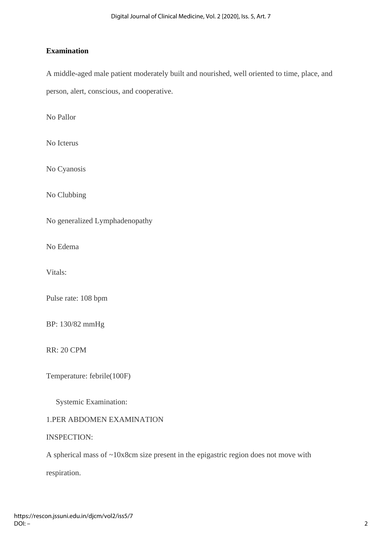## **Examination**

A middle-aged male patient moderately built and nourished, well oriented to time, place, and person, alert, conscious, and cooperative.

No Pallor

No Icterus

No Cyanosis

No Clubbing

No generalized Lymphadenopathy

No Edema

Vitals:

Pulse rate: 108 bpm

BP: 130/82 mmHg

RR: 20 CPM

Temperature: febrile(100F)

Systemic Examination:

#### 1.PER ABDOMEN EXAMINATION

INSPECTION:

A spherical mass of ~10x8cm size present in the epigastric region does not move with

respiration.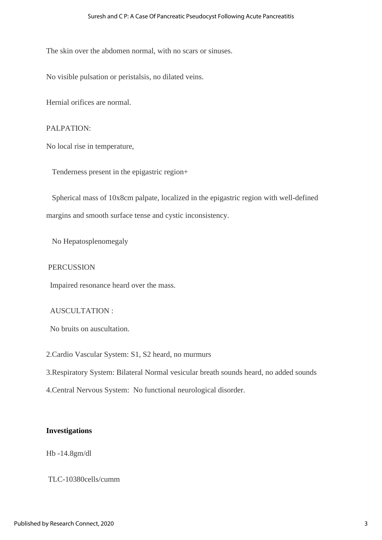The skin over the abdomen normal, with no scars or sinuses.

No visible pulsation or peristalsis, no dilated veins.

Hernial orifices are normal.

#### PALPATION:

No local rise in temperature,

Tenderness present in the epigastric region+

 Spherical mass of 10x8cm palpate, localized in the epigastric region with well-defined margins and smooth surface tense and cystic inconsistency.

No Hepatosplenomegaly

#### **PERCUSSION**

Impaired resonance heard over the mass.

## AUSCULTATION :

No bruits on auscultation.

2.Cardio Vascular System: S1, S2 heard, no murmurs

3.Respiratory System: Bilateral Normal vesicular breath sounds heard, no added sounds

4.Central Nervous System: No functional neurological disorder.

#### **Investigations**

Hb -14.8gm/dl

TLC-10380cells/cumm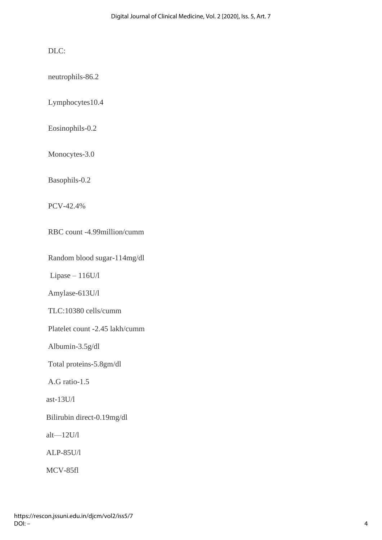## DLC:

neutrophils-86.2

Lymphocytes10.4

Eosinophils-0.2

Monocytes-3.0

Basophils-0.2

PCV-42.4%

RBC count -4.99million/cumm

Random blood sugar-114mg/dl

Lipase – 116U/l

Amylase-613U/l

TLC:10380 cells/cumm

Platelet count -2.45 lakh/cumm

Albumin-3.5g/dl

Total proteins-5.8gm/dl

A.G ratio-1.5

ast-13U/l

Bilirubin direct-0.19mg/dl

alt—12U/l

ALP-85U/l

MCV-85fl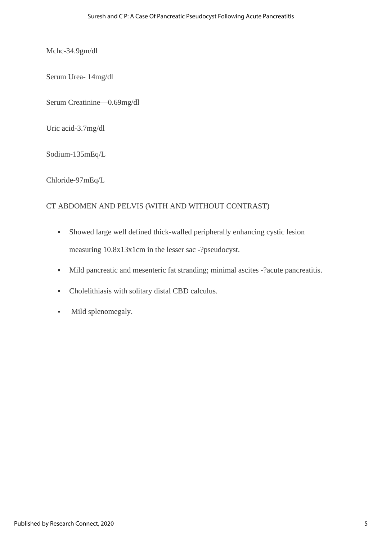Mchc-34.9gm/dl

Serum Urea- 14mg/dl

Serum Creatinine—0.69mg/dl

Uric acid-3.7mg/dl

Sodium-135mEq/L

Chloride-97mEq/L

## CT ABDOMEN AND PELVIS (WITH AND WITHOUT CONTRAST)

- Showed large well defined thick-walled peripherally enhancing cystic lesion measuring 10.8x13x1cm in the lesser sac -?pseudocyst.
- Mild pancreatic and mesenteric fat stranding; minimal ascites -?acute pancreatitis.
- Cholelithiasis with solitary distal CBD calculus.
- Mild splenomegaly.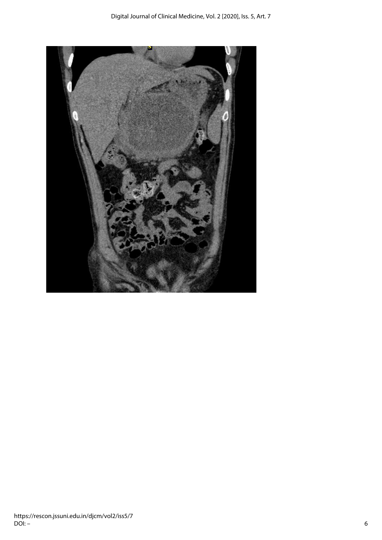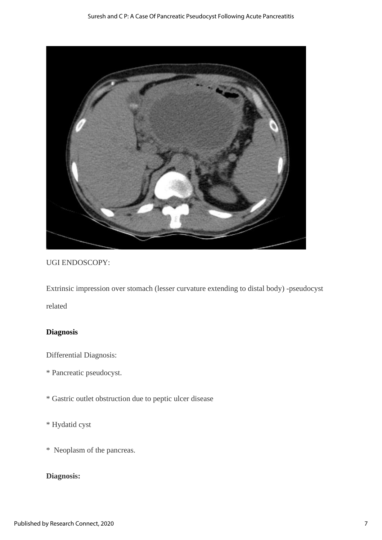

## UGI ENDOSCOPY:

Extrinsic impression over stomach (lesser curvature extending to distal body) -pseudocyst related

## **Diagnosis**

Differential Diagnosis:

- \* Pancreatic pseudocyst.
- \* Gastric outlet obstruction due to peptic ulcer disease
- \* Hydatid cyst
- \* Neoplasm of the pancreas.

## **Diagnosis:**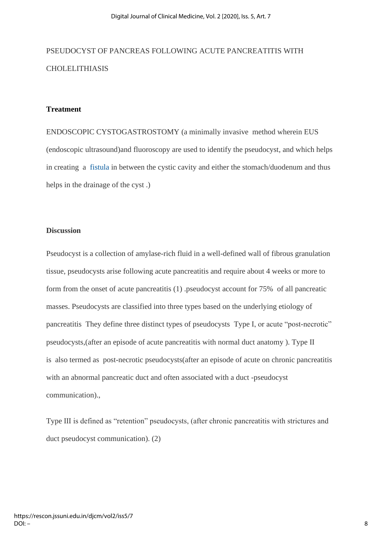# PSEUDOCYST OF PANCREAS FOLLOWING ACUTE PANCREATITIS WITH CHOLELITHIASIS

## **Treatment**

ENDOSCOPIC CYSTOGASTROSTOMY (a minimally invasive method wherein EUS (endoscopic ultrasound)and fluoroscopy are used to identify the pseudocyst, and which helps in creating a [fistula](https://en.wikipedia.org/wiki/Fistula) in between the cystic cavity and either the stomach/duodenum and thus helps in the drainage of the cyst .)

#### **Discussion**

Pseudocyst is a collection of amylase-rich fluid in a well-defined wall of fibrous granulation tissue, pseudocysts arise following acute pancreatitis and require about 4 weeks or more to form from the onset of acute pancreatitis (1) .pseudocyst account for 75% of all pancreatic masses. Pseudocysts are classified into three types based on the underlying etiology of pancreatitis They define three distinct types of pseudocysts Type I, or acute "post-necrotic" pseudocysts,(after an episode of acute pancreatitis with normal duct anatomy ). Type Ⅱ is also termed as post-necrotic pseudocysts(after an episode of acute on chronic pancreatitis with an abnormal pancreatic duct and often associated with a duct -pseudocyst communication).,

Type Ⅲ is defined as "retention" pseudocysts, (after chronic pancreatitis with strictures and duct pseudocyst communication). (2)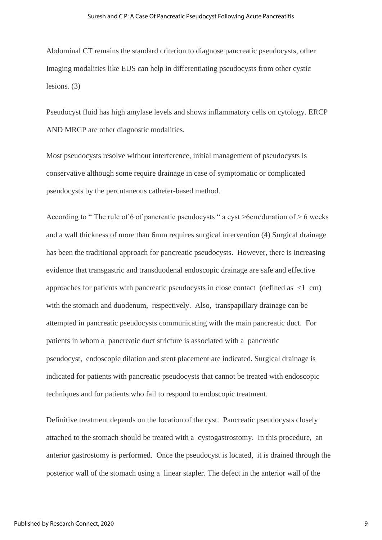Abdominal CT remains the standard criterion to diagnose pancreatic pseudocysts, other Imaging modalities like EUS can help in differentiating pseudocysts from other cystic lesions. (3)

Pseudocyst fluid has high amylase levels and shows inflammatory cells on cytology. ERCP AND MRCP are other diagnostic modalities.

Most pseudocysts resolve without interference, initial management of pseudocysts is conservative although some require drainage in case of symptomatic or complicated pseudocysts by the percutaneous catheter-based method.

According to " The rule of 6 of pancreatic pseudocysts " a cyst >6cm/duration of > 6 weeks and a wall thickness of more than 6mm requires surgical intervention (4) Surgical drainage has been the traditional approach for pancreatic pseudocysts. However, there is increasing evidence that transgastric and transduodenal endoscopic drainage are safe and effective approaches for patients with pancreatic pseudocysts in close contact (defined as  $\langle 1 \text{ cm} \rangle$ ) with the stomach and duodenum, respectively. Also, transpapillary drainage can be attempted in pancreatic pseudocysts communicating with the main pancreatic duct. For patients in whom a pancreatic duct stricture is associated with a pancreatic pseudocyst, endoscopic dilation and stent placement are indicated. Surgical drainage is indicated for patients with pancreatic pseudocysts that cannot be treated with endoscopic techniques and for patients who fail to respond to endoscopic treatment.

Definitive treatment depends on the location of the cyst. Pancreatic pseudocysts closely attached to the stomach should be treated with a cystogastrostomy. In this procedure, an anterior gastrostomy is performed. Once the pseudocyst is located, it is drained through the posterior wall of the stomach using a linear stapler. The defect in the anterior wall of the